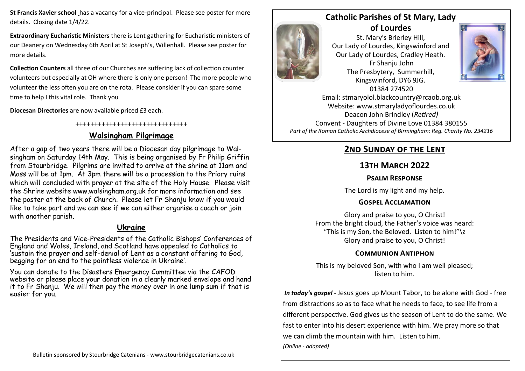**St Francis Xavier school** has a vacancy for a vice-principal. Please see poster for more details. Closing date 1/4/22.

**Extraordinary Eucharistic Ministers** there is Lent gathering for Eucharistic ministers of our Deanery on Wednesday 6th April at St Joseph's, Willenhall. Please see poster for more details.

**Collection Counters** all three of our Churches are suffering lack of collection counter volunteers but especially at OH where there is only one person! The more people who volunteer the less often you are on the rota. Please consider if you can spare some time to help I this vital role. Thank you

**Diocesan Directories** are now available priced £3 each.

#### ++++++++++++++++++++++++++++++

# **Walsingham Pilgrimage**

After a gap of two years there will be a Diocesan day pilgrimage to Walsingham on Saturday 14th May. This is being organised by Fr Philip Griffin from Stourbridge. Pilgrims are invited to arrive at the shrine at 11am and Mass will be at 1pm. At 3pm there will be a procession to the Priory ruins which will concluded with prayer at the site of the Holy House. Please visit the Shrine website www.walsingham.org.uk for more information and see the poster at the back of Church. Please let Fr Shanju know if you would like to take part and we can see if we can either organise a coach or join with another parish.

### **Ukraine**

The Presidents and Vice-Presidents of the Catholic Bishops' Conferences of England and Wales, Ireland, and Scotland have appealed to Catholics to 'sustain the prayer and self-denial of Lent as a constant offering to God, begging for an end to the pointless violence in Ukraine'.

You can donate to the Disasters Emergency Committee via the CAFOD website or please place your donation in a clearly marked envelope and hand it to Fr Shanju. We will then pay the money over in one lump sum if that is easier for you.

## **Catholic Parishes of St Mary, Lady of Lourdes**

St. Mary's Brierley Hill, Our Lady of Lourdes, Kingswinford and Our Lady of Lourdes, Cradley Heath. Fr Shanju John The Presbytery, Summerhill, Kingswinford, DY6 9JG. 01384 274520



Email: stmaryolol.blackcountry@rcaob.org.uk Website: www.stmaryladyoflourdes.co.uk Deacon John Brindley (*Retired)* Convent - Daughters of Divine Love 01384 380155 *Part of the Roman Catholic Archdiocese of Birmingham: Reg. Charity No. 234216*

# **2nd Sunday of the Lent**

# **13th March 2022**

### **Psalm Response**

The Lord is my light and my help.

### **Gospel Acclamation**

Glory and praise to you, O Christ! From the bright cloud, the Father's voice was heard: "This is my Son, the Beloved. Listen to him!"\z Glory and praise to you, O Christ!

### **Communion Antiphon**

This is my beloved Son, with who I am well pleased; listen to him.

*In today's gospel* - Jesus goes up Mount Tabor, to be alone with God - free from distractions so as to face what he needs to face, to see life from a different perspective. God gives us the season of Lent to do the same. We fast to enter into his desert experience with him. We pray more so that we can climb the mountain with him. Listen to him. *(Online - adapted)*